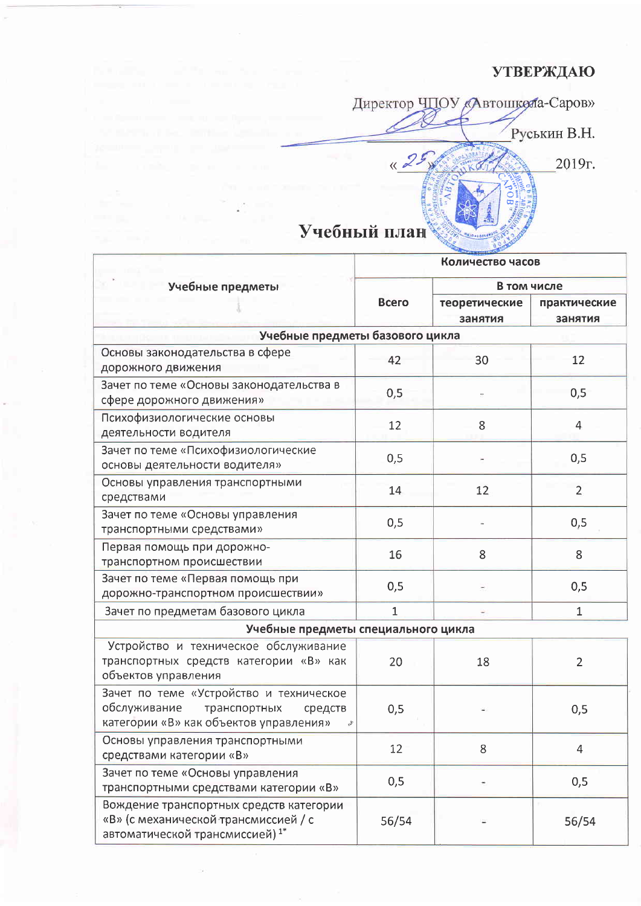## **УТВЕРЖДАЮ**

Директор ЧПОУ «Автошкола-Саров» Руськин В.Н.  $425$ 2019г. Учебный план

|                                                                                                                              | Количество часов |                          |                         |  |  |
|------------------------------------------------------------------------------------------------------------------------------|------------------|--------------------------|-------------------------|--|--|
| Учебные предметы                                                                                                             | Всего            | В том числе              |                         |  |  |
|                                                                                                                              |                  | теоретические<br>занятия | практические<br>занятия |  |  |
| Учебные предметы базового цикла                                                                                              |                  |                          |                         |  |  |
| Основы законодательства в сфере<br>дорожного движения                                                                        | 42               | 30                       | 12                      |  |  |
| Зачет по теме «Основы законодательства в<br>сфере дорожного движения»                                                        | 0,5              |                          | 0,5                     |  |  |
| Психофизиологические основы<br>деятельности водителя                                                                         | 12               | 8                        | 4                       |  |  |
| Зачет по теме «Психофизиологические<br>основы деятельности водителя»                                                         | 0,5              |                          | 0,5                     |  |  |
| Основы управления транспортными<br>средствами                                                                                | 14               | 12                       | $\overline{2}$          |  |  |
| Зачет по теме «Основы управления<br>транспортными средствами»                                                                | 0,5              |                          | 0,5                     |  |  |
| Первая помощь при дорожно-<br>транспортном происшествии                                                                      | 16               | 8                        | 8                       |  |  |
| Зачет по теме «Первая помощь при<br>дорожно-транспортном происшествии»                                                       | 0,5              |                          | 0,5                     |  |  |
| Зачет по предметам базового цикла                                                                                            | $\mathbf{1}$     |                          | 1                       |  |  |
| Учебные предметы специального цикла                                                                                          |                  |                          |                         |  |  |
| Устройство и техническое обслуживание<br>транспортных средств категории «В» как<br>объектов управления                       | 20               | 18                       | $\overline{2}$          |  |  |
| Зачет по теме «Устройство и техническое<br>обслуживание<br>транспортных<br>средств<br>категории «В» как объектов управления» | 0,5              |                          | 0,5                     |  |  |
| Основы управления транспортными<br>средствами категории «В»                                                                  | 12               | 8                        | 4                       |  |  |
| Зачет по теме «Основы управления<br>транспортными средствами категории «В»                                                   | 0,5              |                          | 0,5                     |  |  |
| Вождение транспортных средств категории<br>«В» (с механической трансмиссией / с<br>автоматической трансмиссией) $1^*$        | 56/54            |                          | 56/54                   |  |  |